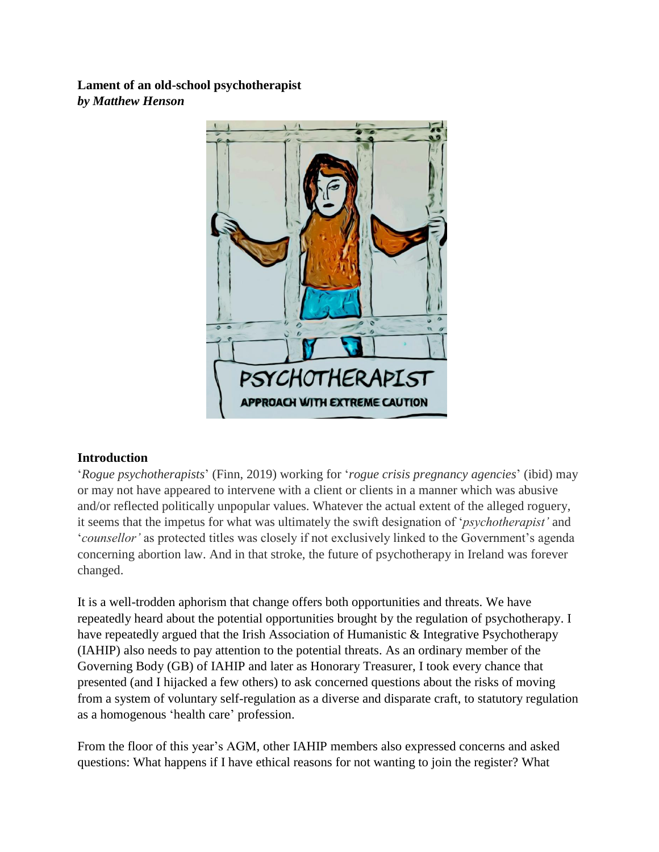**Lament of an old-school psychotherapist** *by Matthew Henson*



# **Introduction**

'*Rogue psychotherapists*' (Finn, 2019) working for '*rogue crisis pregnancy agencies*' (ibid) may or may not have appeared to intervene with a client or clients in a manner which was abusive and/or reflected politically unpopular values. Whatever the actual extent of the alleged roguery, it seems that the impetus for what was ultimately the swift designation of '*psychotherapist'* and '*counsellor'* as protected titles was closely if not exclusively linked to the Government's agenda concerning abortion law. And in that stroke, the future of psychotherapy in Ireland was forever changed.

It is a well-trodden aphorism that change offers both opportunities and threats. We have repeatedly heard about the potential opportunities brought by the regulation of psychotherapy. I have repeatedly argued that the Irish Association of Humanistic & Integrative Psychotherapy (IAHIP) also needs to pay attention to the potential threats. As an ordinary member of the Governing Body (GB) of IAHIP and later as Honorary Treasurer, I took every chance that presented (and I hijacked a few others) to ask concerned questions about the risks of moving from a system of voluntary self-regulation as a diverse and disparate craft, to statutory regulation as a homogenous 'health care' profession.

From the floor of this year's AGM, other IAHIP members also expressed concerns and asked questions: What happens if I have ethical reasons for not wanting to join the register? What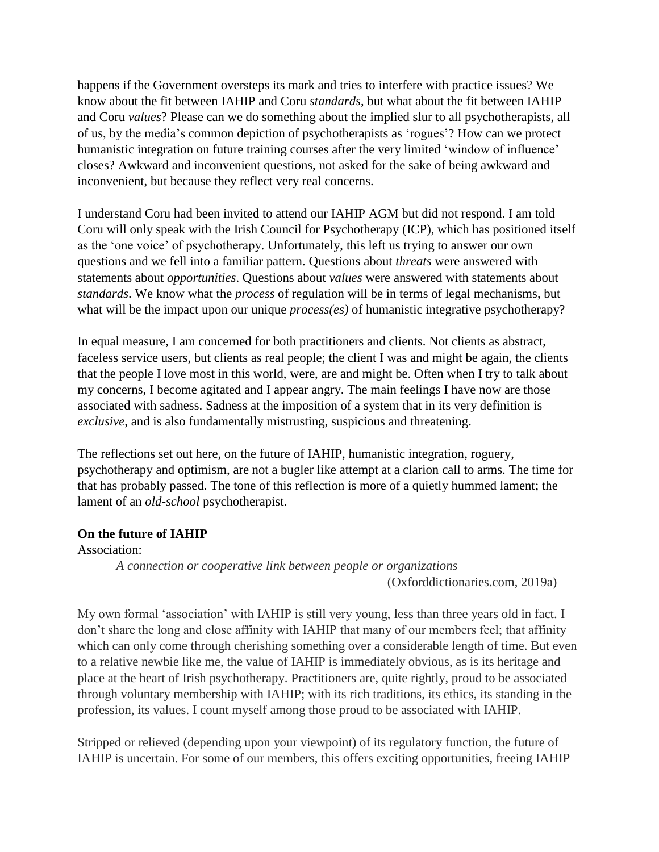happens if the Government oversteps its mark and tries to interfere with practice issues? We know about the fit between IAHIP and Coru *standards*, but what about the fit between IAHIP and Coru *values*? Please can we do something about the implied slur to all psychotherapists, all of us, by the media's common depiction of psychotherapists as 'rogues'? How can we protect humanistic integration on future training courses after the very limited 'window of influence' closes? Awkward and inconvenient questions, not asked for the sake of being awkward and inconvenient, but because they reflect very real concerns.

I understand Coru had been invited to attend our IAHIP AGM but did not respond. I am told Coru will only speak with the Irish Council for Psychotherapy (ICP), which has positioned itself as the 'one voice' of psychotherapy. Unfortunately, this left us trying to answer our own questions and we fell into a familiar pattern. Questions about *threats* were answered with statements about *opportunities*. Questions about *values* were answered with statements about *standards*. We know what the *process* of regulation will be in terms of legal mechanisms, but what will be the impact upon our unique *process(es)* of humanistic integrative psychotherapy?

In equal measure, I am concerned for both practitioners and clients. Not clients as abstract, faceless service users, but clients as real people; the client I was and might be again, the clients that the people I love most in this world, were, are and might be. Often when I try to talk about my concerns, I become agitated and I appear angry. The main feelings I have now are those associated with sadness. Sadness at the imposition of a system that in its very definition is *exclusive*, and is also fundamentally mistrusting, suspicious and threatening.

The reflections set out here, on the future of IAHIP, humanistic integration, roguery, psychotherapy and optimism, are not a bugler like attempt at a clarion call to arms. The time for that has probably passed. The tone of this reflection is more of a quietly hummed lament; the lament of an *old*-*school* psychotherapist.

# **On the future of IAHIP**

Association:

*A connection or cooperative link between people or organizations*

(Oxforddictionaries.com, 2019a)

My own formal 'association' with IAHIP is still very young, less than three years old in fact. I don't share the long and close affinity with IAHIP that many of our members feel; that affinity which can only come through cherishing something over a considerable length of time. But even to a relative newbie like me, the value of IAHIP is immediately obvious, as is its heritage and place at the heart of Irish psychotherapy. Practitioners are, quite rightly, proud to be associated through voluntary membership with IAHIP; with its rich traditions, its ethics, its standing in the profession, its values. I count myself among those proud to be associated with IAHIP.

Stripped or relieved (depending upon your viewpoint) of its regulatory function, the future of IAHIP is uncertain. For some of our members, this offers exciting opportunities, freeing IAHIP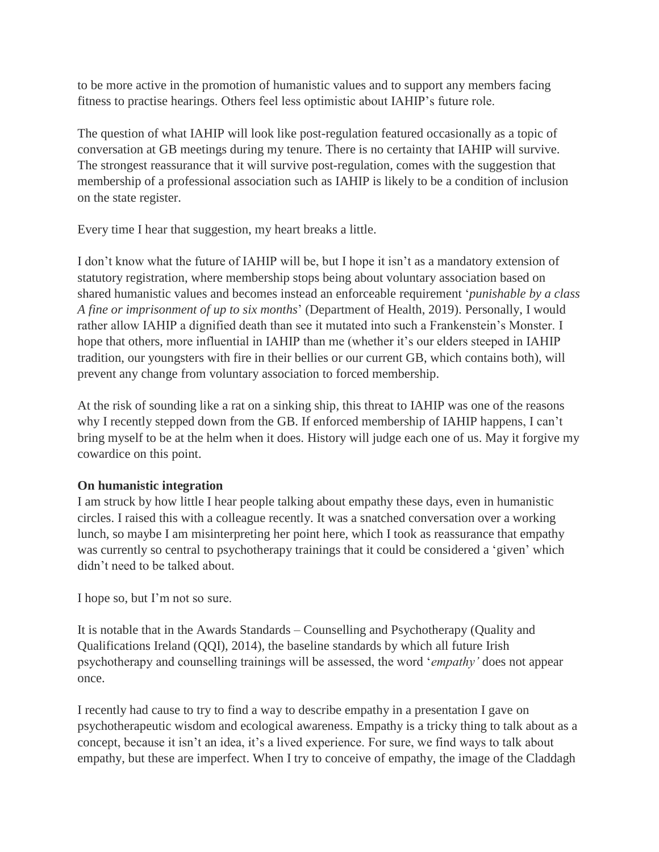to be more active in the promotion of humanistic values and to support any members facing fitness to practise hearings. Others feel less optimistic about IAHIP's future role.

The question of what IAHIP will look like post-regulation featured occasionally as a topic of conversation at GB meetings during my tenure. There is no certainty that IAHIP will survive. The strongest reassurance that it will survive post-regulation, comes with the suggestion that membership of a professional association such as IAHIP is likely to be a condition of inclusion on the state register.

Every time I hear that suggestion, my heart breaks a little.

I don't know what the future of IAHIP will be, but I hope it isn't as a mandatory extension of statutory registration, where membership stops being about voluntary association based on shared humanistic values and becomes instead an enforceable requirement '*punishable by a class A fine or imprisonment of up to six months*' (Department of Health, 2019). Personally, I would rather allow IAHIP a dignified death than see it mutated into such a Frankenstein's Monster. I hope that others, more influential in IAHIP than me (whether it's our elders steeped in IAHIP tradition, our youngsters with fire in their bellies or our current GB, which contains both), will prevent any change from voluntary association to forced membership.

At the risk of sounding like a rat on a sinking ship, this threat to IAHIP was one of the reasons why I recently stepped down from the GB. If enforced membership of IAHIP happens, I can't bring myself to be at the helm when it does. History will judge each one of us. May it forgive my cowardice on this point.

# **On humanistic integration**

I am struck by how little I hear people talking about empathy these days, even in humanistic circles. I raised this with a colleague recently. It was a snatched conversation over a working lunch, so maybe I am misinterpreting her point here, which I took as reassurance that empathy was currently so central to psychotherapy trainings that it could be considered a 'given' which didn't need to be talked about.

I hope so, but I'm not so sure.

It is notable that in the Awards Standards – Counselling and Psychotherapy (Quality and Qualifications Ireland (QQI), 2014), the baseline standards by which all future Irish psychotherapy and counselling trainings will be assessed, the word '*empathy'* does not appear once.

I recently had cause to try to find a way to describe empathy in a presentation I gave on psychotherapeutic wisdom and ecological awareness. Empathy is a tricky thing to talk about as a concept, because it isn't an idea, it's a lived experience. For sure, we find ways to talk about empathy, but these are imperfect. When I try to conceive of empathy, the image of the Claddagh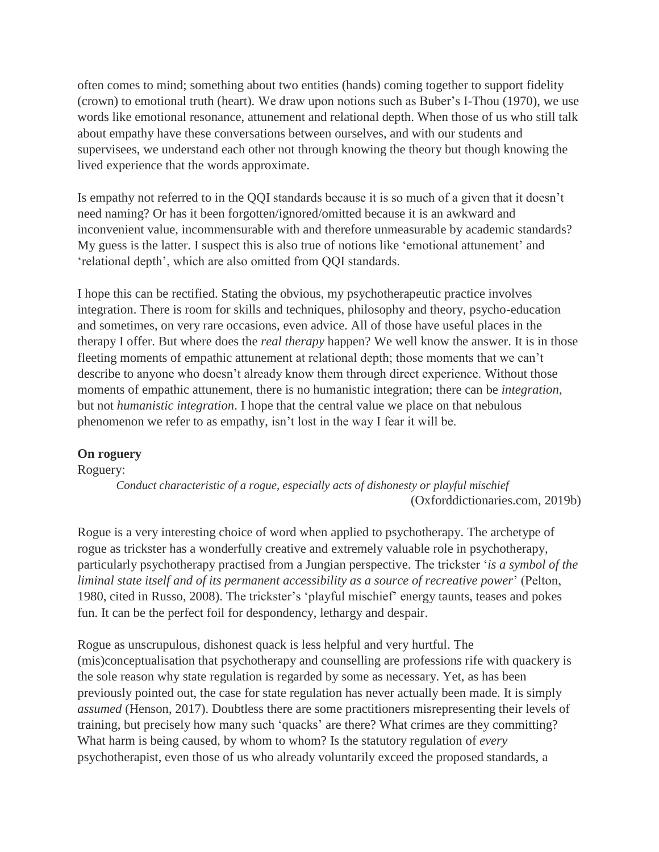often comes to mind; something about two entities (hands) coming together to support fidelity (crown) to emotional truth (heart). We draw upon notions such as Buber's I-Thou (1970), we use words like emotional resonance, attunement and relational depth. When those of us who still talk about empathy have these conversations between ourselves, and with our students and supervisees, we understand each other not through knowing the theory but though knowing the lived experience that the words approximate.

Is empathy not referred to in the QQI standards because it is so much of a given that it doesn't need naming? Or has it been forgotten/ignored/omitted because it is an awkward and inconvenient value, incommensurable with and therefore unmeasurable by academic standards? My guess is the latter. I suspect this is also true of notions like 'emotional attunement' and 'relational depth', which are also omitted from QQI standards.

I hope this can be rectified. Stating the obvious, my psychotherapeutic practice involves integration. There is room for skills and techniques, philosophy and theory, psycho-education and sometimes, on very rare occasions, even advice. All of those have useful places in the therapy I offer. But where does the *real therapy* happen? We well know the answer. It is in those fleeting moments of empathic attunement at relational depth; those moments that we can't describe to anyone who doesn't already know them through direct experience. Without those moments of empathic attunement, there is no humanistic integration; there can be *integration*, but not *humanistic integration*. I hope that the central value we place on that nebulous phenomenon we refer to as empathy, isn't lost in the way I fear it will be.

# **On roguery**

### Roguery:

*Conduct characteristic of a rogue, especially acts of dishonesty or playful mischief* (Oxforddictionaries.com, 2019b)

Rogue is a very interesting choice of word when applied to psychotherapy. The archetype of rogue as trickster has a wonderfully creative and extremely valuable role in psychotherapy, particularly psychotherapy practised from a Jungian perspective. The trickster '*is a symbol of the liminal state itself and of its permanent accessibility as a source of recreative power*' (Pelton, 1980, cited in Russo, 2008). The trickster's 'playful mischief' energy taunts, teases and pokes fun. It can be the perfect foil for despondency, lethargy and despair.

Rogue as unscrupulous, dishonest quack is less helpful and very hurtful. The (mis)conceptualisation that psychotherapy and counselling are professions rife with quackery is the sole reason why state regulation is regarded by some as necessary. Yet, as has been previously pointed out, the case for state regulation has never actually been made. It is simply *assumed* (Henson, 2017). Doubtless there are some practitioners misrepresenting their levels of training, but precisely how many such 'quacks' are there? What crimes are they committing? What harm is being caused, by whom to whom? Is the statutory regulation of *every*  psychotherapist, even those of us who already voluntarily exceed the proposed standards, a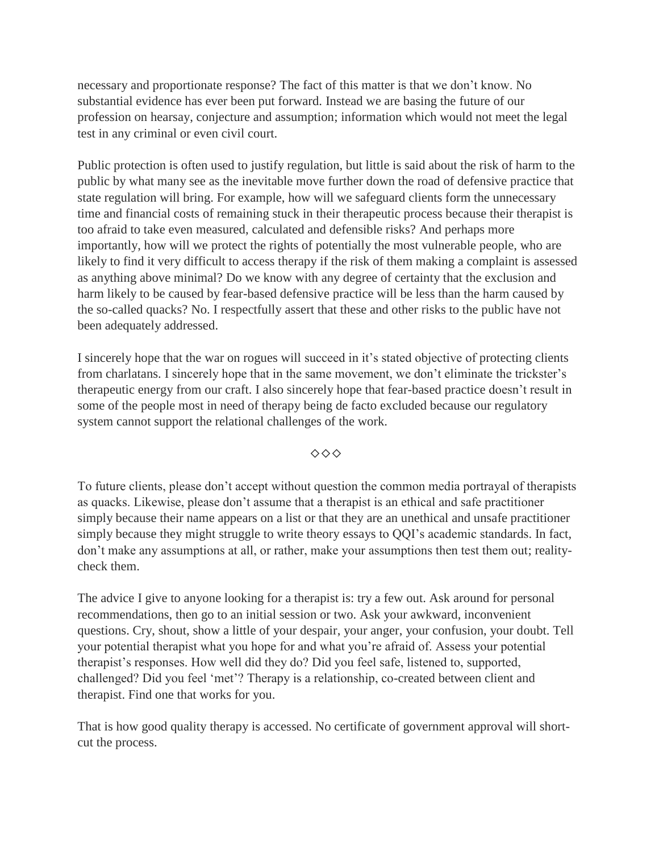necessary and proportionate response? The fact of this matter is that we don't know. No substantial evidence has ever been put forward. Instead we are basing the future of our profession on hearsay, conjecture and assumption; information which would not meet the legal test in any criminal or even civil court.

Public protection is often used to justify regulation, but little is said about the risk of harm to the public by what many see as the inevitable move further down the road of defensive practice that state regulation will bring. For example, how will we safeguard clients form the unnecessary time and financial costs of remaining stuck in their therapeutic process because their therapist is too afraid to take even measured, calculated and defensible risks? And perhaps more importantly, how will we protect the rights of potentially the most vulnerable people, who are likely to find it very difficult to access therapy if the risk of them making a complaint is assessed as anything above minimal? Do we know with any degree of certainty that the exclusion and harm likely to be caused by fear-based defensive practice will be less than the harm caused by the so-called quacks? No. I respectfully assert that these and other risks to the public have not been adequately addressed.

I sincerely hope that the war on rogues will succeed in it's stated objective of protecting clients from charlatans. I sincerely hope that in the same movement, we don't eliminate the trickster's therapeutic energy from our craft. I also sincerely hope that fear-based practice doesn't result in some of the people most in need of therapy being de facto excluded because our regulatory system cannot support the relational challenges of the work.

◇◇◇

To future clients, please don't accept without question the common media portrayal of therapists as quacks. Likewise, please don't assume that a therapist is an ethical and safe practitioner simply because their name appears on a list or that they are an unethical and unsafe practitioner simply because they might struggle to write theory essays to QQI's academic standards. In fact, don't make any assumptions at all, or rather, make your assumptions then test them out; realitycheck them.

The advice I give to anyone looking for a therapist is: try a few out. Ask around for personal recommendations, then go to an initial session or two. Ask your awkward, inconvenient questions. Cry, shout, show a little of your despair, your anger, your confusion, your doubt. Tell your potential therapist what you hope for and what you're afraid of. Assess your potential therapist's responses. How well did they do? Did you feel safe, listened to, supported, challenged? Did you feel 'met'? Therapy is a relationship, co-created between client and therapist. Find one that works for you.

That is how good quality therapy is accessed. No certificate of government approval will shortcut the process.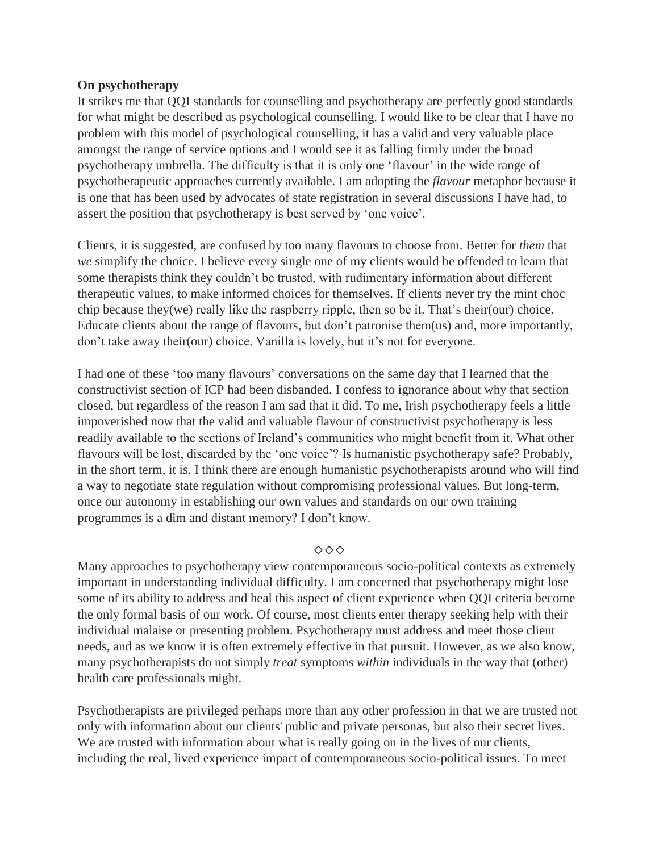# **On psychotherapy**

It strikes me that QQI standards for counselling and psychotherapy are perfectly good standards for what might be described as psychological counselling. I would like to be clear that I have no problem with this model of psychological counselling, it has a valid and very valuable place amongst the range of service options and I would see it as falling firmly under the broad psychotherapy umbrella. The difficulty is that it is only one 'flavour' in the wide range of psychotherapeutic approaches currently available. I am adopting the *flavour* metaphor because it is one that has been used by advocates of state registration in several discussions I have had, to assert the position that psychotherapy is best served by 'one voice'.

Clients, it is suggested, are confused by too many flavours to choose from. Better for *them* that *we* simplify the choice. I believe every single one of my clients would be offended to learn that some therapists think they couldn't be trusted, with rudimentary information about different therapeutic values, to make informed choices for themselves. If clients never try the mint choc chip because they(we) really like the raspberry ripple, then so be it. That's their(our) choice. Educate clients about the range of flavours, but don't patronise them(us) and, more importantly, don't take away their(our) choice. Vanilla is lovely, but it's not for everyone.

I had one of these 'too many flavours' conversations on the same day that I learned that the constructivist section of ICP had been disbanded. I confess to ignorance about why that section closed, but regardless of the reason I am sad that it did. To me, Irish psychotherapy feels a little impoverished now that the valid and valuable flavour of constructivist psychotherapy is less readily available to the sections of Ireland's communities who might benefit from it. What other flavours will be lost, discarded by the 'one voice'? Is humanistic psychotherapy safe? Probably, in the short term, it is. I think there are enough humanistic psychotherapists around who will find a way to negotiate state regulation without compromising professional values. But long-term, once our autonomy in establishing our own values and standards on our own training programmes is a dim and distant memory? I don't know.

# ◇◇◇

Many approaches to psychotherapy view contemporaneous socio-political contexts as extremely important in understanding individual difficulty. I am concerned that psychotherapy might lose some of its ability to address and heal this aspect of client experience when QQI criteria become the only formal basis of our work. Of course, most clients enter therapy seeking help with their individual malaise or presenting problem. Psychotherapy must address and meet those client needs, and as we know it is often extremely effective in that pursuit. However, as we also know, many psychotherapists do not simply *treat* symptoms *within* individuals in the way that (other) health care professionals might.

Psychotherapists are privileged perhaps more than any other profession in that we are trusted not only with information about our clients' public and private personas, but also their secret lives. We are trusted with information about what is really going on in the lives of our clients, including the real, lived experience impact of contemporaneous socio-political issues. To meet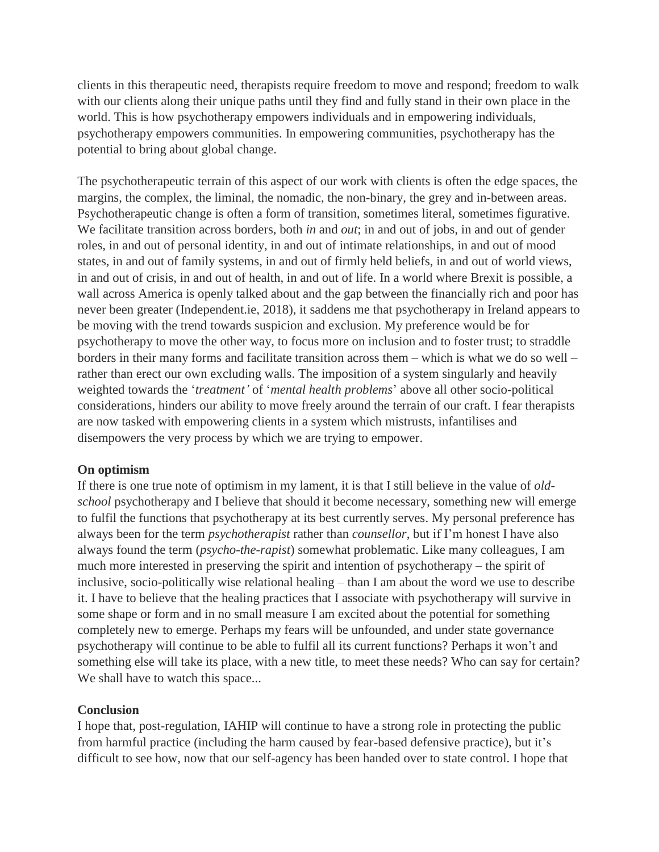clients in this therapeutic need, therapists require freedom to move and respond; freedom to walk with our clients along their unique paths until they find and fully stand in their own place in the world. This is how psychotherapy empowers individuals and in empowering individuals, psychotherapy empowers communities. In empowering communities, psychotherapy has the potential to bring about global change.

The psychotherapeutic terrain of this aspect of our work with clients is often the edge spaces, the margins, the complex, the liminal, the nomadic, the non-binary, the grey and in-between areas. Psychotherapeutic change is often a form of transition, sometimes literal, sometimes figurative. We facilitate transition across borders, both *in* and *out*; in and out of jobs, in and out of gender roles, in and out of personal identity, in and out of intimate relationships, in and out of mood states, in and out of family systems, in and out of firmly held beliefs, in and out of world views, in and out of crisis, in and out of health, in and out of life. In a world where Brexit is possible, a wall across America is openly talked about and the gap between the financially rich and poor has never been greater (Independent.ie, 2018), it saddens me that psychotherapy in Ireland appears to be moving with the trend towards suspicion and exclusion. My preference would be for psychotherapy to move the other way, to focus more on inclusion and to foster trust; to straddle borders in their many forms and facilitate transition across them – which is what we do so well – rather than erect our own excluding walls. The imposition of a system singularly and heavily weighted towards the '*treatment'* of '*mental health problems*' above all other socio-political considerations, hinders our ability to move freely around the terrain of our craft. I fear therapists are now tasked with empowering clients in a system which mistrusts, infantilises and disempowers the very process by which we are trying to empower.

# **On optimism**

If there is one true note of optimism in my lament, it is that I still believe in the value of *oldschool* psychotherapy and I believe that should it become necessary, something new will emerge to fulfil the functions that psychotherapy at its best currently serves. My personal preference has always been for the term *psychotherapist* rather than *counsellor*, but if I'm honest I have also always found the term (*psycho*-*the*-*rapist*) somewhat problematic. Like many colleagues, I am much more interested in preserving the spirit and intention of psychotherapy – the spirit of inclusive, socio-politically wise relational healing – than I am about the word we use to describe it. I have to believe that the healing practices that I associate with psychotherapy will survive in some shape or form and in no small measure I am excited about the potential for something completely new to emerge. Perhaps my fears will be unfounded, and under state governance psychotherapy will continue to be able to fulfil all its current functions? Perhaps it won't and something else will take its place, with a new title, to meet these needs? Who can say for certain? We shall have to watch this space...

### **Conclusion**

I hope that, post-regulation, IAHIP will continue to have a strong role in protecting the public from harmful practice (including the harm caused by fear-based defensive practice), but it's difficult to see how, now that our self-agency has been handed over to state control. I hope that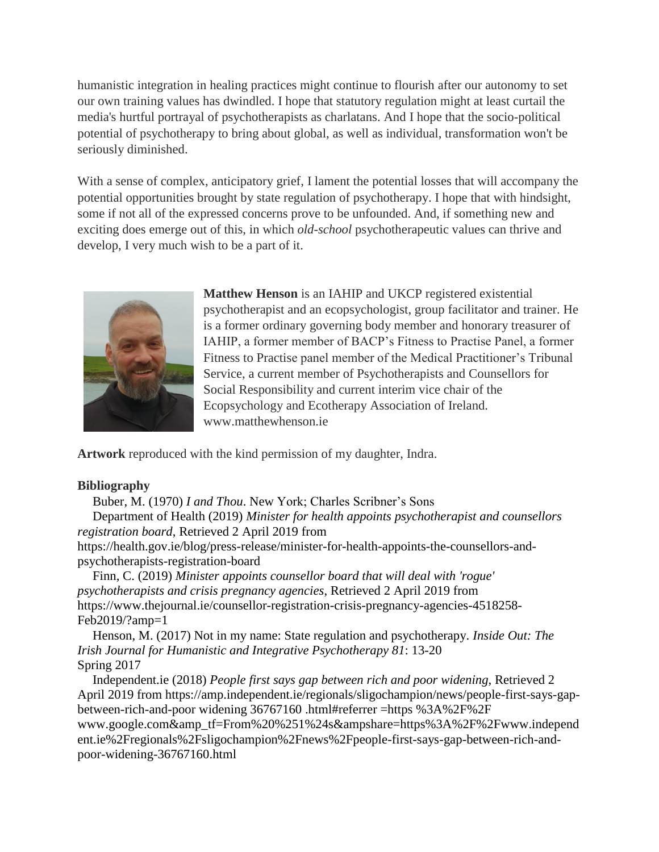humanistic integration in healing practices might continue to flourish after our autonomy to set our own training values has dwindled. I hope that statutory regulation might at least curtail the media's hurtful portrayal of psychotherapists as charlatans. And I hope that the socio-political potential of psychotherapy to bring about global, as well as individual, transformation won't be seriously diminished.

With a sense of complex, anticipatory grief, I lament the potential losses that will accompany the potential opportunities brought by state regulation of psychotherapy. I hope that with hindsight, some if not all of the expressed concerns prove to be unfounded. And, if something new and exciting does emerge out of this, in which *old-school* psychotherapeutic values can thrive and develop, I very much wish to be a part of it.



**Matthew Henson** is an IAHIP and UKCP registered existential psychotherapist and an ecopsychologist, group facilitator and trainer. He is a former ordinary governing body member and honorary treasurer of IAHIP, a former member of BACP's Fitness to Practise Panel, a former Fitness to Practise panel member of the Medical Practitioner's Tribunal Service, a current member of Psychotherapists and Counsellors for Social Responsibility and current interim vice chair of the Ecopsychology and Ecotherapy Association of Ireland. www.matthewhenson.ie

**Artwork** reproduced with the kind permission of my daughter, Indra.

# **Bibliography**

Buber, M. (1970) *I and Thou*. New York; Charles Scribner's Sons

Department of Health (2019) *Minister for health appoints psychotherapist and counsellors registration board*, Retrieved 2 April 2019 from

[https://health.gov.ie/blog/press-release/minister-for-health-appoints-the-counsellors-and](https://health.gov.ie/blog/press-release/minister-for-health-appoints-the-counsellors-and-psychotherapists-registration-board)[psychotherapists-registration-board](https://health.gov.ie/blog/press-release/minister-for-health-appoints-the-counsellors-and-psychotherapists-registration-board)

Finn, C. (2019) *Minister appoints counsellor board that will deal with 'rogue' psychotherapists and crisis pregnancy agencies*, Retrieved 2 April 2019 from [https://www.thejournal.ie/counsellor-registration-crisis-pregnancy-agencies-4518258-](https://www.thejournal.ie/counsellor-registration-crisis-pregnancy-agencies-4518258-Feb2019/?amp=1) [Feb2019/?amp=1](https://www.thejournal.ie/counsellor-registration-crisis-pregnancy-agencies-4518258-Feb2019/?amp=1)

Henson, M. (2017) Not in my name: State regulation and psychotherapy. *Inside Out: The Irish Journal for Humanistic and Integrative Psychotherapy 81*: 13-20 Spring 2017

Independent.ie (2018) *People first says gap between rich and poor widening*, Retrieved 2 April 2019 from [https://amp.independent.ie/regionals/sligochampion/news/people-first-says-gap](https://amp.independent.ie/regionals/sligochampion/news/people-first-says-gap-between-rich-and-poor%20widening%2036767160%20.html#referrer =https %3A%2F%2F www.google.com&_tf=From%20%251%24s&share=https%3A%2F%2Fwww.independent.ie%2Fregionals%2Fsligochampion%2Fnews%2Fpeople-first-says-gap-between-rich-and-poor-widening-36767160.html)[between-rich-and-poor widening 36767160 .html#referrer =https %3A%2F%2F](https://amp.independent.ie/regionals/sligochampion/news/people-first-says-gap-between-rich-and-poor%20widening%2036767160%20.html#referrer =https %3A%2F%2F www.google.com&_tf=From%20%251%24s&share=https%3A%2F%2Fwww.independent.ie%2Fregionals%2Fsligochampion%2Fnews%2Fpeople-first-says-gap-between-rich-and-poor-widening-36767160.html)  [www.google.com&amp\\_tf=From%20%251%24s&ampshare=https%3A%2F%2Fwww.independ](https://amp.independent.ie/regionals/sligochampion/news/people-first-says-gap-between-rich-and-poor%20widening%2036767160%20.html#referrer =https %3A%2F%2F www.google.com&_tf=From%20%251%24s&share=https%3A%2F%2Fwww.independent.ie%2Fregionals%2Fsligochampion%2Fnews%2Fpeople-first-says-gap-between-rich-and-poor-widening-36767160.html) [ent.ie%2Fregionals%2Fsligochampion%2Fnews%2Fpeople-first-says-gap-between-rich-and](https://amp.independent.ie/regionals/sligochampion/news/people-first-says-gap-between-rich-and-poor%20widening%2036767160%20.html#referrer =https %3A%2F%2F www.google.com&_tf=From%20%251%24s&share=https%3A%2F%2Fwww.independent.ie%2Fregionals%2Fsligochampion%2Fnews%2Fpeople-first-says-gap-between-rich-and-poor-widening-36767160.html)[poor-widening-36767160.html](https://amp.independent.ie/regionals/sligochampion/news/people-first-says-gap-between-rich-and-poor%20widening%2036767160%20.html#referrer =https %3A%2F%2F www.google.com&_tf=From%20%251%24s&share=https%3A%2F%2Fwww.independent.ie%2Fregionals%2Fsligochampion%2Fnews%2Fpeople-first-says-gap-between-rich-and-poor-widening-36767160.html)